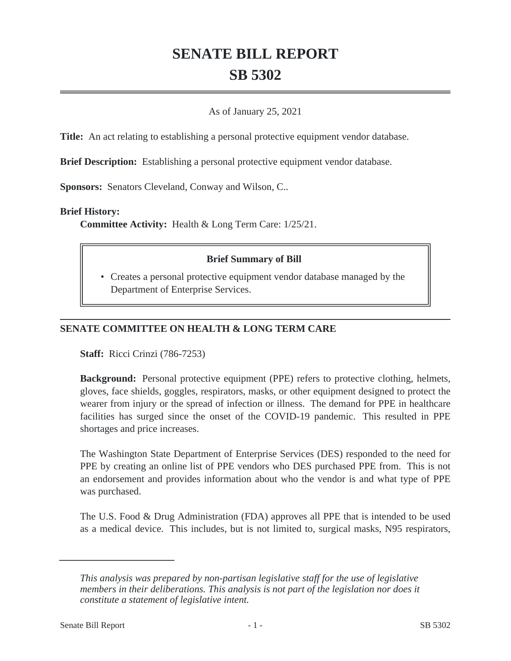# **SENATE BILL REPORT SB 5302**

#### As of January 25, 2021

**Title:** An act relating to establishing a personal protective equipment vendor database.

**Brief Description:** Establishing a personal protective equipment vendor database.

**Sponsors:** Senators Cleveland, Conway and Wilson, C..

#### **Brief History:**

**Committee Activity:** Health & Long Term Care: 1/25/21.

### **Brief Summary of Bill**

• Creates a personal protective equipment vendor database managed by the Department of Enterprise Services.

## **SENATE COMMITTEE ON HEALTH & LONG TERM CARE**

**Staff:** Ricci Crinzi (786-7253)

**Background:** Personal protective equipment (PPE) refers to protective clothing, helmets, gloves, face shields, goggles, respirators, masks, or other equipment designed to protect the wearer from injury or the spread of infection or illness. The demand for PPE in healthcare facilities has surged since the onset of the COVID-19 pandemic. This resulted in PPE shortages and price increases.

The Washington State Department of Enterprise Services (DES) responded to the need for PPE by creating an online list of PPE vendors who DES purchased PPE from. This is not an endorsement and provides information about who the vendor is and what type of PPE was purchased.

The U.S. Food & Drug Administration (FDA) approves all PPE that is intended to be used as a medical device. This includes, but is not limited to, surgical masks, N95 respirators,

*This analysis was prepared by non-partisan legislative staff for the use of legislative members in their deliberations. This analysis is not part of the legislation nor does it constitute a statement of legislative intent.*